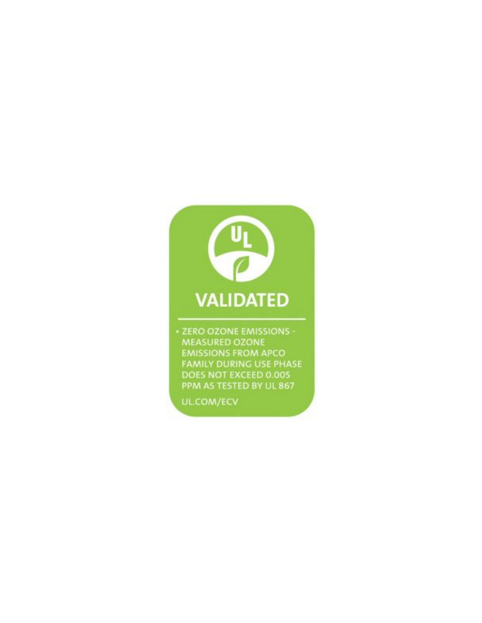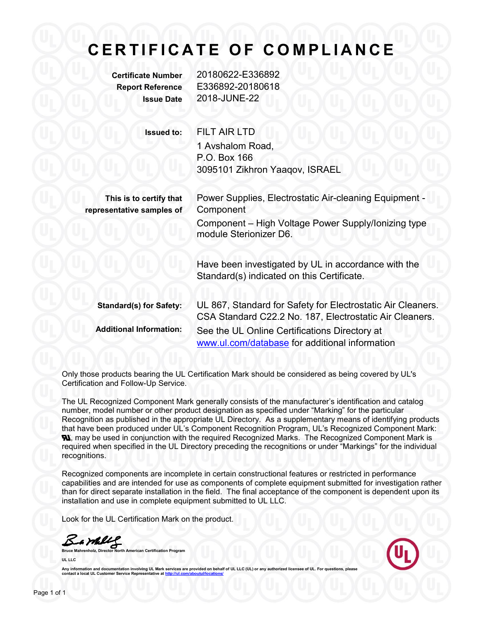# **CERTIFICATE OF COMPLIANCE**

**Certificate Number** 20180622-E336892 **Report Reference** E336892-20180618 **Issue Date** 2018-JUNE-22

**Issued to:** FILT AIR LTD

1 Avshalom Road, P.O. Box 166 3095101 Zikhron Yaaqov, ISRAEL

**This is to certify that representative samples of**

Power Supplies, Electrostatic Air-cleaning Equipment - Component Component - High Voltage Power Supply/Ionizing type module Sterionizer D6.

Have been investigated by UL in accordance with the Standard(s) indicated on this Certificate.

**Standard(s) for Safety:** UL 867, Standard for Safety for Electrostatic Air Cleaners. CSA Standard C22.2 No. 187, Electrostatic Air Cleaners. **Additional Information:** See the UL Online Certifications Directory at [www.ul.com/database](http://www.ul.com/database) for additional information

Only those products bearing the UL Certification Mark should be considered as being covered by UL's Certification and Follow-Up Service.

The UL Recognized Component Mark generally consists of the manufacturer's identification and catalog number, model number or other product designation as specified under "Marking" for the particular Recognition as published in the appropriate UL Directory. As a supplementary means of identifying products that have been produced under UL's Component Recognition Program, UL's Recognized Component Mark: **N**, may be used in conjunction with the required Recognized Marks. The Recognized Component Mark is required when specified in the UL Directory preceding the recognitions or under "Markings" for the individual recognitions.

Recognized components are incomplete in certain constructional features or restricted in performance capabilities and are intended for use as components of complete equipment submitted for investigation rather than for direct separate installation in the field. The final acceptance of the component is dependent upon its installation and use in complete equipment submitted to UL LLC.

Look for the UL Certification Mark on the product.

**Bruce Malley Community Community Community Community Community Community Community Community Community Community Community Community Community Community Community Community Community Community Community Community Communit** 

**UL LLC**



Any information and documentation involving UL Mark services are provided on behalf of UL LLC (UL) or any authorized licensee of UL. For questions, please<br>contact a local UL Customer Service Representative at <u>http://ul.co</u>